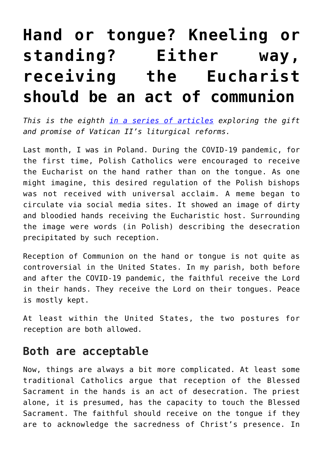# **[Hand or tongue? Kneeling or](https://www.osvnews.com/2022/06/20/hand-or-tongue-kneeling-or-standing-either-way-receiving-the-eucharist-should-be-an-act-of-communion/) [standing? Either way,](https://www.osvnews.com/2022/06/20/hand-or-tongue-kneeling-or-standing-either-way-receiving-the-eucharist-should-be-an-act-of-communion/) [receiving the Eucharist](https://www.osvnews.com/2022/06/20/hand-or-tongue-kneeling-or-standing-either-way-receiving-the-eucharist-should-be-an-act-of-communion/) [should be an act of communion](https://www.osvnews.com/2022/06/20/hand-or-tongue-kneeling-or-standing-either-way-receiving-the-eucharist-should-be-an-act-of-communion/)**

*This is the eighth [in a series of articles](https://www.osvnews.com/tag/vatican-ii-series/) exploring the gift and promise of Vatican II's liturgical reforms.*

Last month, I was in Poland. During the COVID-19 pandemic, for the first time, Polish Catholics were encouraged to receive the Eucharist on the hand rather than on the tongue. As one might imagine, this desired regulation of the Polish bishops was not received with universal acclaim. A meme began to circulate via social media sites. It showed an image of dirty and bloodied hands receiving the Eucharistic host. Surrounding the image were words (in Polish) describing the desecration precipitated by such reception.

Reception of Communion on the hand or tongue is not quite as controversial in the United States. In my parish, both before and after the COVID-19 pandemic, the faithful receive the Lord in their hands. They receive the Lord on their tongues. Peace is mostly kept.

At least within the United States, the two postures for reception are both allowed.

## **Both are acceptable**

Now, things are always a bit more complicated. At least some traditional Catholics argue that reception of the Blessed Sacrament in the hands is an act of desecration. The priest alone, it is presumed, has the capacity to touch the Blessed Sacrament. The faithful should receive on the tongue if they are to acknowledge the sacredness of Christ's presence. In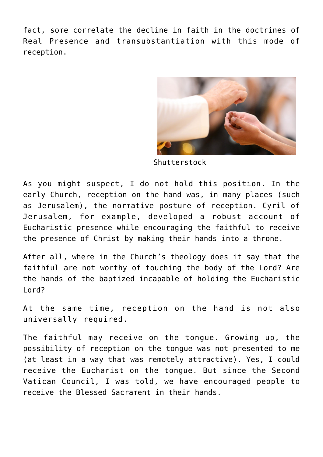fact, some correlate the decline in faith in the doctrines of Real Presence and transubstantiation with this mode of reception.



Shutterstock

As you might suspect, I do not hold this position. In the early Church, reception on the hand was, in many places (such as Jerusalem), the normative posture of reception. Cyril of Jerusalem, for example, developed a robust account of Eucharistic presence while encouraging the faithful to receive the presence of Christ by making their hands into a throne.

After all, where in the Church's theology does it say that the faithful are not worthy of touching the body of the Lord? Are the hands of the baptized incapable of holding the Eucharistic Lord?

At the same time, reception on the hand is not also universally required.

The faithful may receive on the tongue. Growing up, the possibility of reception on the tongue was not presented to me (at least in a way that was remotely attractive). Yes, I could receive the Eucharist on the tongue. But since the Second Vatican Council, I was told, we have encouraged people to receive the Blessed Sacrament in their hands.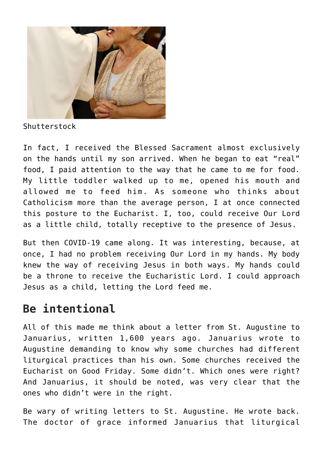

Shutterstock

In fact, I received the Blessed Sacrament almost exclusively on the hands until my son arrived. When he began to eat "real" food, I paid attention to the way that he came to me for food. My little toddler walked up to me, opened his mouth and allowed me to feed him. As someone who thinks about Catholicism more than the average person, I at once connected this posture to the Eucharist. I, too, could receive Our Lord as a little child, totally receptive to the presence of Jesus.

But then COVID-19 came along. It was interesting, because, at once, I had no problem receiving Our Lord in my hands. My body knew the way of receiving Jesus in both ways. My hands could be a throne to receive the Eucharistic Lord. I could approach Jesus as a child, letting the Lord feed me.

# **Be intentional**

All of this made me think about a letter from St. Augustine to Januarius, written 1,600 years ago. Januarius wrote to Augustine demanding to know why some churches had different liturgical practices than his own. Some churches received the Eucharist on Good Friday. Some didn't. Which ones were right? And Januarius, it should be noted, was very clear that the ones who didn't were in the right.

Be wary of writing letters to St. Augustine. He wrote back. The doctor of grace informed Januarius that liturgical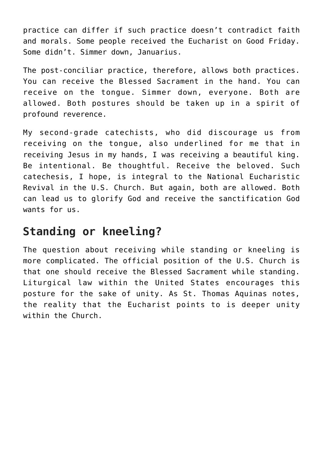practice can differ if such practice doesn't contradict faith and morals. Some people received the Eucharist on Good Friday. Some didn't. Simmer down, Januarius.

The post-conciliar practice, therefore, allows both practices. You can receive the Blessed Sacrament in the hand. You can receive on the tongue. Simmer down, everyone. Both are allowed. Both postures should be taken up in a spirit of profound reverence.

My second-grade catechists, who did discourage us from receiving on the tongue, also underlined for me that in receiving Jesus in my hands, I was receiving a beautiful king. Be intentional. Be thoughtful. Receive the beloved. Such catechesis, I hope, is integral to the National Eucharistic Revival in the U.S. Church. But again, both are allowed. Both can lead us to glorify God and receive the sanctification God wants for us.

## **Standing or kneeling?**

The question about receiving while standing or kneeling is more complicated. The official position of the U.S. Church is that one should receive the Blessed Sacrament while standing. Liturgical law within the United States encourages this posture for the sake of unity. As St. Thomas Aquinas notes, the reality that the Eucharist points to is deeper unity within the Church.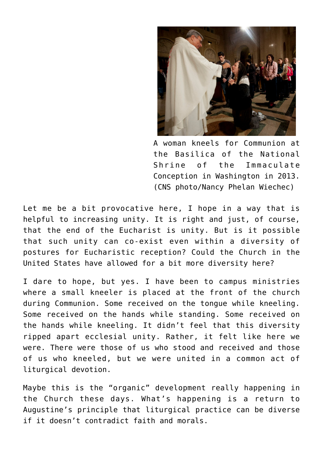

A woman kneels for Communion at the Basilica of the National Shrine of the Immaculate Conception in Washington in 2013. (CNS photo/Nancy Phelan Wiechec)

Let me be a bit provocative here, I hope in a way that is helpful to increasing unity. It is right and just, of course, that the end of the Eucharist is unity. But is it possible that such unity can co-exist even within a diversity of postures for Eucharistic reception? Could the Church in the United States have allowed for a bit more diversity here?

I dare to hope, but yes. I have been to campus ministries where a small kneeler is placed at the front of the church during Communion. Some received on the tongue while kneeling. Some received on the hands while standing. Some received on the hands while kneeling. It didn't feel that this diversity ripped apart ecclesial unity. Rather, it felt like here we were. There were those of us who stood and received and those of us who kneeled, but we were united in a common act of liturgical devotion.

Maybe this is the "organic" development really happening in the Church these days. What's happening is a return to Augustine's principle that liturgical practice can be diverse if it doesn't contradict faith and morals.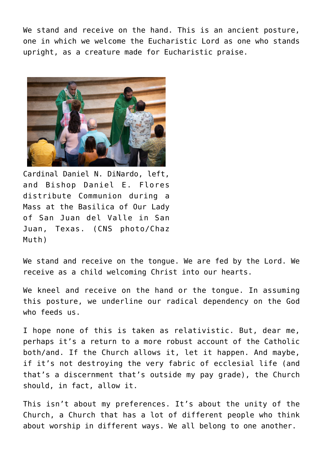We stand and receive on the hand. This is an ancient posture, one in which we welcome the Eucharistic Lord as one who stands upright, as a creature made for Eucharistic praise.



Cardinal Daniel N. DiNardo, left, and Bishop Daniel E. Flores distribute Communion during a Mass at the Basilica of Our Lady of San Juan del Valle in San Juan, Texas. (CNS photo/Chaz Muth)

We stand and receive on the tongue. We are fed by the Lord. We receive as a child welcoming Christ into our hearts.

We kneel and receive on the hand or the tongue. In assuming this posture, we underline our radical dependency on the God who feeds us.

I hope none of this is taken as relativistic. But, dear me, perhaps it's a return to a more robust account of the Catholic both/and. If the Church allows it, let it happen. And maybe, if it's not destroying the very fabric of ecclesial life (and that's a discernment that's outside my pay grade), the Church should, in fact, allow it.

This isn't about my preferences. It's about the unity of the Church, a Church that has a lot of different people who think about worship in different ways. We all belong to one another.